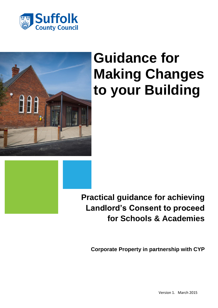



# **Guidance for Making Changes to your Building**



**Corporate Property in partnership with CYP**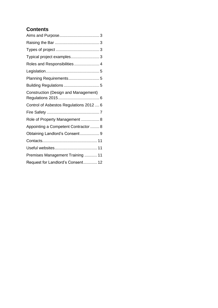### **Contents**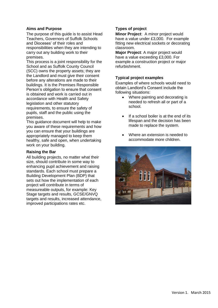#### <span id="page-2-0"></span>**Aims and Purpose**

The purpose of this guide is to assist Head Teachers, Governors of Suffolk Schools and Dioceses' of their roles and responsibilities when they are intending to carry out any building work to their premises.

This process is a joint responsibility for the School and as Suffolk County Council (SCC) owns the property assets; they are the Landlord and must give their consent before any alterations are made to their buildings. It is the Premises Responsible Person's obligation to ensure that consent is obtained and work is carried out in accordance with Health and Safety legislation and other statutory requirements, to ensure the safety of pupils, staff and the public using the premises.

This guidance document will help to make you aware of these requirements and how you can ensure that your buildings are appropriately managed to keep them healthy, safe and open, when undertaking work on your building.

#### <span id="page-2-1"></span>**Raising the Bar**

All building projects, no matter what their size, should contribute in some way to enhancing pupil achievement and raising standards. Each school must prepare a Building Development Plan (BDP) that sets out how the implementation of each project will contribute in terms of measureable outputs, for example: Key Stage targets and results, GCSE/GNVQ targets and results, increased attendance, improved participations rates etc.

#### <span id="page-2-2"></span>**Types of project**

**Minor Project**: A minor project would have a value under £3,000. For example fitting new electrical sockets or decorating classroom.

**Major Project**: A major project would have a value exceeding £3,000. For example a construction project or major refurbishment.

#### <span id="page-2-3"></span>**Typical project examples**

Examples of where schools would need to obtain Landlord's Consent include the following situations:

- Where painting and decorating is needed to refresh all or part of a school.
- If a school boiler is at the end of its lifespan and the decision has been made to replace the system.
- Where an extension is needed to accommodate more children.

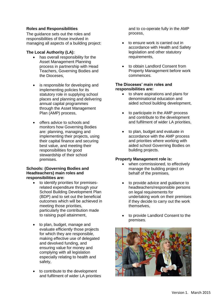#### <span id="page-3-0"></span>**Roles and Responsibilities**

The guidance sets out the roles and responsibilities of those involved in managing all aspects of a building project:

#### **The Local Authority (LA):**

- has overall responsibility for the Asset Management Planning process in partnership with Head Teachers, Governing Bodies and the Dioceses,
- is responsible for developing and implementing policies for its statutory role in supplying school places and planning and delivering annual capital programmes through the Asset Management Plan (AMP) process,
- offers advice to schools and monitors how Governing Bodies are: planning, managing and implementing their projects, using their capital finance and securing best value, and meeting their responsibilities for good stewardship of their school premises.

#### **Schools: (Governing Bodies and Headteachers) main roles and responsibilities are:**

- to identify priorities for premisesrelated expenditure through your School Building Development Plan (BDP) and to set out the beneficial outcomes which will be achieved in meeting those priorities, particularly the contribution made to raising pupil attainment,
- to plan, budget, manage and evaluate efficiently those projects for which they are responsible, making effective use of delegated and devolved funding, and ensuring value for money and complying with all legislation especially relating to health and safety,
- to contribute to the development and fulfilment of wider LA priorities

and to co-operate fully in the AMP process,

- to ensure work is carried out in accordance with Health and Safety legislation and other statutory requirements,
- to obtain Landlord Consent from Property Management before work commences.

#### **The Dioceses' main roles and responsibilities are:**

- to share aspirations and plans for denominational education and aided school building development,
- to participate in the AMP process and contribute to the development and fulfilment of wider LA priorities,
- to plan, budget and evaluate in accordance with the AMP process and priorities where working with aided school Governing Bodies on building projects.

#### **Property Management role is:**

- when commissioned, to effectively manage the building project on behalf of the premises,
- to provide advice and guidance to headteachers/responsible persons on legal requirements for undertaking work on their premises if they decide to carry out the work themselves,
- to provide Landlord Consent to the premises.

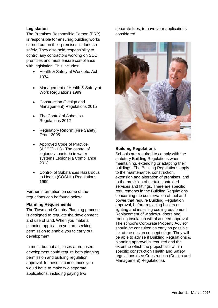### <span id="page-4-0"></span>**Legislation**

The Premises Responsible Person (PRP) is responsible for ensuring building works carried out on their premises is done so safely. They also hold responsibility to control any contractors working on SCC premises and must ensure compliance with legislation. This includes:

- Health & Safety at Work etc. Act 1974
- Management of Health & Safety at Work Regulations 1999
- Construction (Design and Management) Regulations 2015
- The Control of Asbestos Regulations 2012
- Regulatory Reform (Fire Safety) Order 2005
- Approved Code of Practice (ACOP) - L8 - The control of legionella bacteria in water systems Legionella Compliance 2013
- Control of Substances Hazardous to Health (COSHH) Regulations 1999

Further information on some of the reguations can be found below:

#### <span id="page-4-1"></span>**Planning Requirements**

The Town and Country Planning process is designed to regulate the development and use of land. When you make a planning application you are seeking permission to enable you to carry out development.

In most, but not all, cases a proposed development could require both planning permission and building regulation approval. In these circumstances you would have to make two separate applications, including paying two

separate fees, to have your applications considered.



#### <span id="page-4-2"></span>**Building Regulations**

Schools are required to comply with the statutory Building Regulations when maintaining, extending or adapting their buildings. The Building Regulations apply to the maintenance, construction, extension and alteration of premises, and to the provision of certain controlled services and fittings. There are specific requirements in the Building Regulations concerning the conservation of fuel and power that require Building Regulation approval, before replacing boilers or lighting and installing cooling equipment. Replacement of windows, doors and roofing insulation will also need approval. The school's Corporate Property Advisor should be consulted as early as possible i.e. at the design concept stage. They will be able to advise if Building Regulations & planning approval is required and the extent to which the project falls within specific construction Health and Safety regulations (see Construction (Design and Management) Regulations).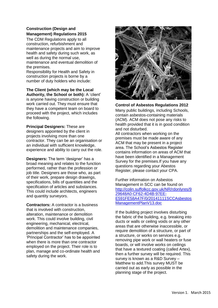#### <span id="page-5-0"></span>**Construction (Design and Management) Regulations 2015**

The CDM Regulations apply to all construction, refurbishment and maintenance projects and aim to improve health and safety during such work, as well as during the normal use, maintenance and eventual demolition of the premises.

Responsibility for Health and Safety in construction projects is borne by a number of duty holders who include:

#### **The Client (which may be the Local**

**Authority, the School or both):** A 'client' is anyone having construction or building work carried out. They must ensure that they have a competent team on board to proceed with the project, which includes the following.

**Principal Designers:** These are designers appointed by the client in projects involving more than one contractor. They can be an organisation or an individual with sufficient knowledge, experience and ability to carry out the role.

**Designers:** The term 'designer' has a broad meaning and relates to the function performed, rather than the profession or job title. Designers are those who, as part of their work, prepare design drawings, specifications, bills of quantities and the specification of articles and substances. This could include architects, engineers and quantity surveyors.

**Contractors:** A contractor is a business that is involved with construction, alteration, maintenance or demolition work. This could involve building, civil engineering, mechanical, electrical, demolition and maintenance companies, partnerships and the self-employed. A 'Principal Contractor' has to be appointed when there is more than one contractor employed on the project. Their role is to plan, manage and co-ordinate health and safety during the work.



<span id="page-5-1"></span>**Control of Asbestos Regulations 2012**

Many public buildings, including Schools, contain asbestos-containing materials (ACM). ACM does not pose any risks to health provided that it is in good condition and not disturbed.

All contractors when working on the premises must be made aware of any ACM that may be present in a project area. The School's Asbestos Register contains information on areas of ACM that have been identified in a Management Survey for the premises.If you have any questions regarding your Abestos Register, please contact your CPA.

Further information on Asbestos Management in SCC can be found on [http://colin.suffolkcc.gov.uk/NR/rdonlyres/9](http://colin.suffolkcc.gov.uk/NR/rdonlyres/929648A0-CF62-4D4B-97EE-E591FE58A47F/0/20141111SCCAsbestosManagementPlanV13.doc) [29648A0-CF62-4D4B-97EE-](http://colin.suffolkcc.gov.uk/NR/rdonlyres/929648A0-CF62-4D4B-97EE-E591FE58A47F/0/20141111SCCAsbestosManagementPlanV13.doc)[E591FE58A47F/0/20141111SCCAsbestos](http://colin.suffolkcc.gov.uk/NR/rdonlyres/929648A0-CF62-4D4B-97EE-E591FE58A47F/0/20141111SCCAsbestosManagementPlanV13.doc) [ManagementPlanV13.doc](http://colin.suffolkcc.gov.uk/NR/rdonlyres/929648A0-CF62-4D4B-97EE-E591FE58A47F/0/20141111SCCAsbestosManagementPlanV13.doc)

If the building project involves disturbing the fabric of the building, e.g. breaking into ducts or walls or ceiling voids or any other areas that are otherwise inaccessible, or require demolition of a structure, or part of a structure, or works on services e.g. removing pipe work or wall heaters or fuse boards, or will involve works on ceilings that have a textured coating (called Artex), then a further survey will be required. This survey is known as a R&D Survey – Matthew to add.This survey MUST be carried out as early as possible in the planning stage of the project.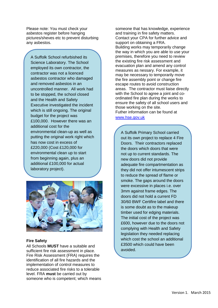Please note: You must check your asbestos register before hanging pictures/sheves etc to prevent disturbing any asbestos.

A Suffolk School refurbished its Science Laboratory. The School employed its own contractor, the contractor was not a licenced asbestos contractor who damaged and removed asbestos in an uncontrolled manner. All work had to be stopped, the school closed and the Health and Safety Executive investigated the incident which is still ongoing. The original budget for the project was £100,000. However there was an additional cost for the environmental clean-up as well as putting the original work right which has now cost in excess of £220,000 (Cost £120,000 for environmental clean up to start from beginning again, plus an additional £100,000 for actual laboratory project).



#### <span id="page-6-0"></span>**Fire Safety**

All Schools **MUST** have a suitable and sufficient fire risk assessment in place. Fire Risk Assessment (FRA) requires the identification of all fire hazards and the implementation of control measures to reduce associated fire risks to a tolerable level. FRA **must** be carried out by someone who is competent; which means someone that has knowledge, experience and training in fire safety matters. Contact your CPA for further advice and support on obtaining a FRA. Building works may temporarily change the way in which you are able to use your premises, therefore you need to review the existing fire risk assessment and evacuation plan and amend any control measures as nessary. For example, it may be necessary to temporarily move the fire assembly point or change fire escape routes to avoid construction areas. The contractor must liaise directly with the School to agree a joint and coordinated fire plan during the works to ensure the safety of all school users and those working on the site. Futher information can be found at [www.hse.gov.uk](http://www.hse.gov.uk/)

A Suffolk Primary School carried out its own project to replace 4 Fire Doors. Their contractors replaced the doors which doors that were not up to current standards. The new doors did not provide adequate fire compartmentation as they did not offer intumescent strips to reduce the spread of flame or smoke. The gaps around the doors were excessive in places i.e. over 3mm against frame edges. The doors did not hold a current FD 30/60 BWF Certifire label and there is some doubt as to the makeup timber used for edging materials. The initial cost of the project was £600, however due to the doors not complying with Health and Safety legislation they needed replacing which cost the school an additional £3500 which could have been avoided.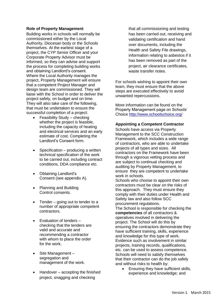#### <span id="page-7-0"></span>**Role of Property Management**

Building works in schools will normally be commissioned either by the Local Authority, Diocesan body or the Schools themselves. At the earliest stage of a project, the CYP Senior Officer and your Corporate Property Advisor must be informed, so they can advise and support the process for completing building works and obtaining Landlord's consent. Where the Local Authority manages the project, Property Management will ensure that a competent Project Manager and design team are commissioned. They will liaise with the School in order to deliver the project safely, on budget and on time. They will also take care of the following, that must be undertaken to ensure the successful completion of a project:

- Feasibility Study checking whether the project is feasible, including the capacity of heating and electrical services and an early estimate of cost. Completing the Landlord's Consent form.
- $\bullet$  Specification producing a written technical specification of the work to be carried out, including contract conditions, DDA compliance etc.
- Obtaining Landlord's Consent (see appendix A).
- Planning and Building Control consents.
- $\bullet$  Tender going out to tender to a number of appropriate competent contractors.
- Evaluation of tenders checking that the tenders are valid and accurate and recommending a contractor with whom to place the order for the work.
- Site Management segregation and management of the work.
- Handover accepting the finished project, snagging and checking

that all commissioning and testing has been carried out, receiving and validating certification and hand over documents, including the Health and Safety File drawings, information relating to asbestos if it has been removed as part of the project, air clearance certificates, waste transfer notes.

For schools wishing to appoint their own team, they must ensure that the above steps are executed effectively to avoid unwanted repercussions.

More information can be found on the Property Management page on Schools' Choice<http://www.schoolschoice.org/>

#### <span id="page-7-1"></span>**Appointing a Competent Contractor**

Schools have access via Property Management to the SCC Construction Framework, which includes a wide range of contractors, who are able to undertake projects of all types and sizes. All contractors on the Framework have been through a vigorous vetting process and are subject to continual checking and auditing by Property Management, to ensure they are competent to undertake work in schools.

Schools who choose to appoint their own contractors must be clear on the risks of this approach. They must ensure they comply with their duties under Health and Safety law and also follow SCC procurement regulations.

The School is responsible for checking the **competencies** of all contractors & operatives involved in delivering the project. The School will do this by ensuring the contractors demonstrate they have sufficient training, skills, experience and knowledge for this type of work. Evidence such as involvement in similar projects, training records, qualifications, etc. can be used to assess competence. Schools will need to satisfy themselves that their contractor can do the job safely and without risks to health by:

 Ensuring they have sufficient skills, experience and knowledge; and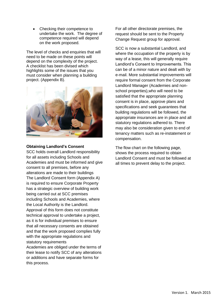Checking their competence to undertake the work. The degree of competence required will depend on the work proposed.

The level of checks and enquiries that will need to be made on these points will depend on the complexity of the project. A checklist has been divised which highlights some of the issues that you must consider when planning a building project. (Appendix B).



#### <span id="page-8-0"></span>**Obtaining Landlord's Consent**

SCC holds overall Landlord responsibility for all assets including Schools and Academies and must be informed and give consent to all premises, before any alterations are made to their buildings The Landlord Consent form (Appendix A) is required to ensure Corporate Property has a strategic overview of building work being carried out at SCC premises including Schools and Academies, where the Local Authority is the Landlord. Approval of this form does not constitute technical approval to undertake a project, as it is for individual premises to ensure that all necessary consents are obtained and that the work proposed complies fully with the appropriate regulations and statutory requirements

Academies are obliged under the terms of their lease to notify SCC of any alterations or additions and have separate forms for this process.

For all other directorate premises, the request should be sent to the Property Change Request group for approval.

SCC is now a substantial Landlord, and where the occupation of the property is by way of a lease, this will generally require Landlord's Consent to Improvements. This can be of a minor nature and dealt with by e-mail. More substantial improvements will require formal consent from the Corporate Landlord Manager (Academies and nonschool properties),who will need to be satisfied that the appropriate planning consent is in place, approve plans and specifications and seek guarantees that building regulations will be followed, the appropriate insurances are in place and all statutory regulations adhered to. There may also be consideration given to end of tenancy matters such as re-instatement or compensation.

The flow chart on the following page, shows the process required to obtain Landlord Consent and must be followed at all times to prevent delay to the project.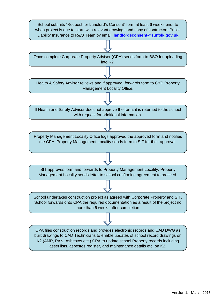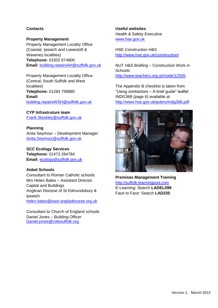### <span id="page-10-0"></span>**Contacts**

#### **Property Management**

Property Management Locality Office (Coastal, Ipswich and Lowestoft & Waveney localities) **Telephone:** 01502 674800 **Email:** [building.repairsAH@suffolk.gov.uk](mailto:building.repairsAH@suffolk.gov.uk)

Property Management Locality Office (Central, South Suffolk and West localities) **Telephone:** 01284 758680 **Email:**  [building.repairsWSH@suffolk.gov.uk](mailto:building.repairsWSH@suffolk.gov.uk)

**CYP Infrastruture team** [Frank.Stockley@suffolk.gov.uk](mailto:Frank.Stockley@suffolk.gov.uk)

**Planning** Anita Seymour – Development Manager [Anita.Seymour@suffolk.gov.uk](mailto:Anita.Seymour@suffolk.gov.uk)

**SCC Ecology Services Telephone:** 01473 264784 **Email:** [ecology@suffolk.gov.uk](mailto:ecology@suffolk.gov.uk)

#### **Aided Schools**

Consultant to Roman Catholic schools Mrs Helen Bates – Assistant Director Capital and Buildings Anglican Diocese of St Edmundsbury & **Ipswich** [helen.bates@east-angliadiocese.org.uk](mailto:helen.bates@east-angliadiocese.org.uk)

Consultant to Church of England schools Daniel Jones – Building Officer [Daniel.jones@cofesuffolk.org](mailto:Daniel.jones@cofesuffolk.org)

<span id="page-10-1"></span>**Useful websites**

Health & Safety Executive [www.hse.gov.uk](http://www.hse.gov.uk/)

HSE Construction H&S <http://www.hse.gov.uk/construction/>

NUT H&S Briefing – Construction Work in **Schools** <http://www.teachers.org.uk/node/12505>

The Appendix B checklist is taken from "Using contractors – A brief guide" leaflet INDG368 (page 6) available at <http://www.hse.gov.uk/pubns/indg368.pdf>



<span id="page-10-2"></span>**Premises Management Training** [http://suffolk.learningpool.com](http://suffolk.learningpool.com/) E-Learning: Search **LADEL099** Face to Face: Search **LAD235**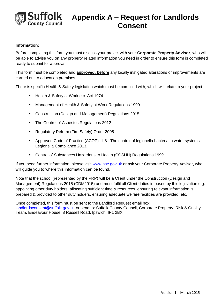

#### <span id="page-11-0"></span>**Information:**

Before completing this form you must discuss your project with your **Corporate Property Advisor**, who will be able to advise you on any property related information you need in order to ensure this form is completed ready to submit for approval.

This form must be completed and **approved, before** any locally instigated alterations or improvements are carried out to education premises.

There is specific Health & Safety legislation which must be complied with, which will relate to your project.

- Health & Safety at Work etc. Act 1974
- Management of Health & Safety at Work Regulations 1999
- Construction (Design and Management) Regulations 2015
- The Control of Asbestos Regulations 2012
- **Regulatory Reform (Fire Safety) Order 2005**
- Approved Code of Practice (ACOP) L8 The control of legionella bacteria in water systems Legionella Compliance 2013.
- Control of Substances Hazardous to Health (COSHH) Regulations 1999

If you need further information, please visit [www.hse.gov.uk](http://www.hse.gov.uk/) or ask your Corporate Property Advisor, who will guide you to where this information can be found.

Note that the school (represented by the PRP) will be a Client under the Construction (Design and Management) Regulations 2015 (CDM2015) and must fulfil all Client duties imposed by this legislation e.g. appointing other duty holders, allocating sufficient time & resources, ensuring relevant information is prepared & provided to other duty holders, ensuring adequate welfare facilities are provided, etc.

Once completed, this form must be sent to the Landlord Request email box: [landlordsconsent@suffolk.gov.uk](mailto:landlordsconsent@suffolk.gov.uk) or send to: Suffolk County Council, Corporate Property, Risk & Quality Team, Endeavour House, 8 Russell Road, Ipswich, IP1 2BX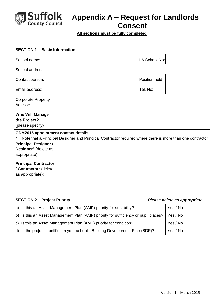

## **Suffolk** Appendix A – Request for Landlords<br>
Consent **Consent**

**All sections must be fully completed**

#### **SECTION 1 – Basic Information**

| School name:                                                                                                                                                | LA School No:  |  |  |
|-------------------------------------------------------------------------------------------------------------------------------------------------------------|----------------|--|--|
| School address:                                                                                                                                             |                |  |  |
| Contact person:                                                                                                                                             | Position held: |  |  |
| Email address:                                                                                                                                              | Tel. No:       |  |  |
| <b>Corporate Property</b><br>Advisor:                                                                                                                       |                |  |  |
| <b>Who Will Manage</b><br>the Project?<br>(please specify)                                                                                                  |                |  |  |
| <b>CDM2015 appointment contact details:</b><br>* = Note that a Principal Designer and Principal Contractor required where there is more than one contractor |                |  |  |
| <b>Principal Designer /</b>                                                                                                                                 |                |  |  |
| Designer* (delete as                                                                                                                                        |                |  |  |
| appropriate):                                                                                                                                               |                |  |  |
| <b>Principal Contractor</b>                                                                                                                                 |                |  |  |
| / Contractor* (delete                                                                                                                                       |                |  |  |
| as appropriate):                                                                                                                                            |                |  |  |

### **SECTION 2 – Project Priority** *Please delete as appropriate*

| a) Is this an Asset Management Plan (AMP) priority for suitability?                 | Yes / No |
|-------------------------------------------------------------------------------------|----------|
| b) Is this an Asset Management Plan (AMP) priority for sufficiency or pupil places? | Yes / No |
| c) Is this an Asset Management Plan (AMP) priority for condition?                   | Yes / No |
| d) Is the project identified in your school's Building Development Plan (BDP)?      | Yes / No |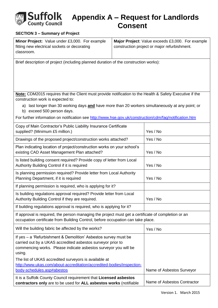

### **SECTION 3 – Summary of Project**

| Minor Project: Value under £3,000. For example | Major Project: Value exceeds £3,000. For example |
|------------------------------------------------|--------------------------------------------------|
| fitting new electrical sockets or decorating   | construction project or major refurbishment.     |
| classroom.                                     |                                                  |

Brief description of project (including planned duration of the construction works):

**Note:** CDM2015 requires that the Client must provide notification to the Health & Safety Executive if the construction work is expected to:

- a) last longer than 30 working days **and** have more than 20 workers simultaneously at any point; or
- b) exceed 500 person days.

For further information on notification see<http://www.hse.gov.uk/construction/cdm/faq/notification.htm>

| Copy of Main Contractor's Public Liability Insurance Certificate<br>supplied? (Minimum £5 million.)                                                                                                         | Yes / No                    |
|-------------------------------------------------------------------------------------------------------------------------------------------------------------------------------------------------------------|-----------------------------|
| Drawings of the proposed project/construction works attached?                                                                                                                                               | Yes / No                    |
| Plan indicating location of project/construction works on your school's<br>existing CAD Asset Management Plan attached?                                                                                     | Yes / No                    |
| Is listed building consent required? Provide copy of letter from Local<br>Authority Building Control if it is required                                                                                      | Yes / No                    |
| Is planning permission required? Provide letter from Local Authority<br>Planning Department, if it is required                                                                                              | Yes / No                    |
| If planning permission is required, who is applying for it?                                                                                                                                                 |                             |
| Is building regulations approval required? Provide letter from Local<br>Authority Building Control if they are required.                                                                                    | Yes / No                    |
| If building regulations approval is required, who is applying for it?                                                                                                                                       |                             |
| If approval is required, the person managing the project must get a certificate of completion or an<br>occupation certificate from Building Control, before occupation can take place.                      |                             |
| Will the building fabric be affected by the works?                                                                                                                                                          | Yes / No                    |
| If yes - a 'Refurbishment & Demolition' Asbestos survey must be<br>carried out by a UKAS accredited asbestos surveyor prior to<br>commencing works. Please indicate asbestos surveyor you will be<br>using. |                             |
| The list of UKAS accredited surveyors is available at<br>http://www.ukas.com/about-accreditation/accredited-bodies/inspection-                                                                              |                             |
| body-schedules.asp#abestos                                                                                                                                                                                  | Name of Asbestos Surveyor   |
| It is a Suffolk County Council requirement that Licensed asbestos<br>contractors only are to be used for ALL asbestos works (notifiable                                                                     | Name of Asbestos Contractor |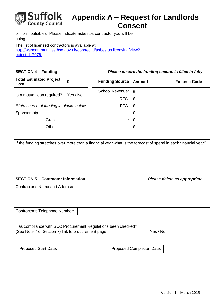

## **Suffolk** Appendix A – Request for Landlords<br>
Consent **Consent**

| or non-notifiable). Please indicate asbestos contractor you will be  |  |
|----------------------------------------------------------------------|--|
| using.                                                               |  |
| The list of licensed contractors is available at                     |  |
| http://webcommunities.hse.gov.uk/connect.ti/asbestos.licensing/view? |  |
| objectId=7076.                                                       |  |

#### **SECTION 4 – Funding** *Please ensure the funding section is filled in fully*

| <b>Total Estimated Project</b><br>Cost: | £        | <b>Funding Source</b> | <b>Amount</b> | <b>Finance Code</b> |
|-----------------------------------------|----------|-----------------------|---------------|---------------------|
| Is a mutual loan required?              | Yes / No | School Revenue:   £   |               |                     |
|                                         |          | DFC:                  | £             |                     |
| State source of funding in blanks below |          | PTA:                  | £             |                     |
| Sponsorship -                           |          | £                     |               |                     |
| Grant -                                 |          |                       | £             |                     |
| Other -                                 |          |                       | £             |                     |

If the funding stretches over more than a financial year what is the forecast of spend in each financial year?

#### **SECTION 5 – Contractor Information** *Please delete as appropriate*

| <b>Contractor's Name and Address:</b>                                                                               |          |
|---------------------------------------------------------------------------------------------------------------------|----------|
|                                                                                                                     |          |
|                                                                                                                     |          |
| Contractor's Telephone Number:                                                                                      |          |
|                                                                                                                     |          |
| Has compliance with SCC Procurement Regulations been checked?<br>(See Note 7 of Section 7) link to procurement page | Yes / No |

|--|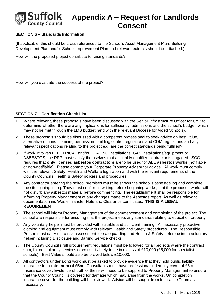

### **SECTION 6 – Standards Information**

(If applicable, this should be cross referenced to the School's Asset Management Plan, Building Development Plan and/or School Improvement Plan and relevant extracts should be attached.)

How will the proposed project contribute to raising standards?

How will you evaluate the success of the project?

#### **SECTION 7 – Certification Check List**

- 1. Where relevant, these proposals have been discussed with the Senior Infrastructure Officer for CYP to determine whether there are any implications for sufficiency, admissions and the school's budget, which may not be met through the LMS budget (and with the relevant Diocese for Aided Schools).
- 2. These proposals should be discussed with a competent professional to seek advice on best value, alternative options, planning permission, building control regulations and CDM regulations and any relevant specifications relating to the project e.g. are the correct standards being fulfilled?
- 3. If work involves ELECTRICAL and/or HEATING installations, GAS installations/equipment or ASBESTOS, the PRP must satisfy themselves that a suitably qualified contractor is engaged. SCC requires that **only licensed asbestos contractors** are to be used for **ALL asbestos works** (notifiable or non-notifiable). Please contact your Corporate Property Advisor for advice. All work must comply with the relevant Safety, Health and Welfare legislation and with the relevant requirements of the County Council's Health & Safety policies and procedures.
- 4. Any contractor entering the school premises **must** be shown the school's asbestos log and complete the site signing in log. They must confirm in writing before beginning works, that the proposed works will not disturb any asbestos material **before** commencing. The establishment shall be responsible for informing Property Management of any changes made to the Asbestos report. As well as relevant documentation inc Waste Transfer Note and Clearance certificates. **THIS IS A LEGAL REQUIREMENT**
- 5. The school will inform Property Management of the commencement and completion of the project. The school are responsible for ensuring that the project meets any standards relating to education property.
- 6. Any voluntary helper must be provided with suitable and sufficient training. All necessary protective clothing and equipment must comply with relevant Health and Safety procedures. The Responsible Person must carry out a risk assessment for safeguarding and Health & Safety before using a voluntary helper including Disclosure and Barring Service checks
- 7. The County Council's full procurement regulations must be followed for all projects where the contract sum, for consultancy services or works, is likely to be in excess of £10,000 (£5,000 for specialist schools). Best Value should also be proved below £10,000.
- 8. All contractors undertaking work must be asked to provide evidence that they hold public liability insurance for a **minimum of £5m**. Consultants must have professional indemnity cover of £5m. Insurance cover. Evidence of both of these will need to be supplied to Property Management to ensure that the County Council is covered for damage which may arise from the works. On completion insurance cover for the building will be reviewed. Advice will be sought from Insurance Team as necessary.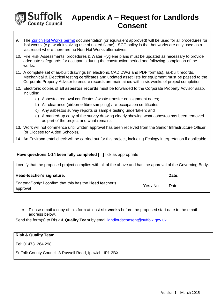

- 9. The [Zurich Hot Works permit](http://colin.suffolkcc.gov.uk/NR/rdonlyres/1E978E20-0D34-4B4E-8803-739902626C6B/0/DMQMProjectsWF1771HotWorkPermittoprintanduse.pdf) documentation (or equivalent approved) will be used for all procedures for 'hot works' (e.g. work involving use of naked flame). SCC policy is that hot works are only used as a last resort where there are no Non-Hot Works alternatives.
- 10. Fire Risk Assessments, procedures & Water Hygiene plans must be updated as necessary to provide adequate safeguards for occupants during the construction period and following completion of the works.
- 11. A complete set of as-built drawings (in electronic CAD DWG and PDF formats), as-built records, Mechanical & Electrical testing certificates and updated asset lists for equipment must be passed to the Corporate Property Advisor to ensure records are maintained within six weeks of project completion.
- 12. Electronic copies of **all asbestos records** must be forwarded to the Corporate Property Advisor asap, including:
	- a) Asbestos removal certificates / waste transfer consignment notes;
	- b) Air clearance (airborne fibre sampling) / re-occupation certificates;
	- c) Any asbestos survey reports or sample testing undertaken; and
	- d) A marked-up copy of the survey drawing clearly showing what asbestos has been removed as part of the project and what remains.
- 13. Work will not commence until written approval has been received from the Senior Infrastructure Officer (or Diocese for Aided Schools).
- 14. An Environmental check will be carried out for this project, including Ecology interpretation if applicable.

#### **Have questions 1-14 been fully completed [ ]Tick as appropriate**

| I certify that the proposed project complies with all of the above and has the approval of the Governing Body. |  |
|----------------------------------------------------------------------------------------------------------------|--|
|                                                                                                                |  |

| Head-teacher's signature:                                              |          | Date: |
|------------------------------------------------------------------------|----------|-------|
| For email only: I confirm that this has the Head teacher's<br>approval | Yes / No | Date: |

 Please email a copy of this form at least **six weeks** before the proposed start date to the email address below.

Send the form(s) to Risk & Quality Team by email **landlordsconsent@suffolk.gov.uk** 

| <b>Risk &amp; Quality Team</b>                           |  |
|----------------------------------------------------------|--|
| ' Tel: 01473  264 298 ∶                                  |  |
| Suffolk County Council, 8 Russell Road, Ipswich, IP1 2BX |  |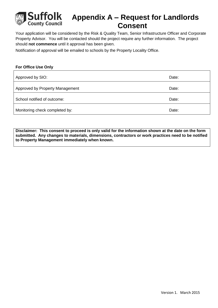

Your application will be considered by the Risk & Quality Team, Senior Infrastructure Officer and Corporate Property Advisor. You will be contacted should the project require any further information. The project should **not commence** until it approval has been given.

Notification of approval will be emailed to schools by the Property Locality Office.

#### **For Office Use Only**

| Approved by SIO:                | Date: |
|---------------------------------|-------|
| Approved by Property Management | Date: |
| School notified of outcome:     | Date: |
| Monitoring check completed by:  | Date: |

**Disclaimer: This consent to proceed is only valid for the information shown at the date on the form submitted. Any changes to materials, dimensions, contractors or work practices need to be notified to Property Management immediately when known.**